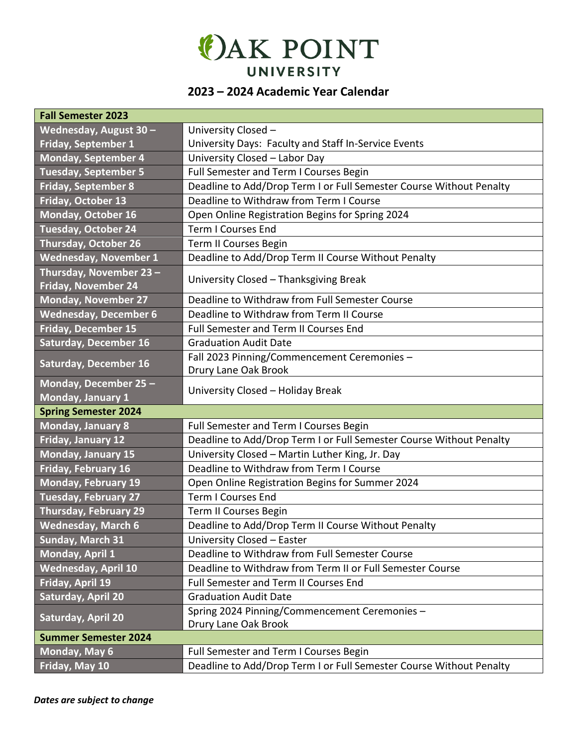

## **2023 – 2024 Academic Year Calendar**

| <b>Fall Semester 2023</b>                     |                                                                       |  |  |
|-----------------------------------------------|-----------------------------------------------------------------------|--|--|
| Wednesday, August 30 -                        | University Closed -                                                   |  |  |
| <b>Friday, September 1</b>                    | University Days: Faculty and Staff In-Service Events                  |  |  |
| Monday, September 4                           | University Closed - Labor Day                                         |  |  |
| <b>Tuesday, September 5</b>                   | Full Semester and Term I Courses Begin                                |  |  |
| <b>Friday, September 8</b>                    | Deadline to Add/Drop Term I or Full Semester Course Without Penalty   |  |  |
| Friday, October 13                            | Deadline to Withdraw from Term I Course                               |  |  |
| Monday, October 16                            | Open Online Registration Begins for Spring 2024                       |  |  |
| <b>Tuesday, October 24</b>                    | <b>Term I Courses End</b>                                             |  |  |
| <b>Thursday, October 26</b>                   | Term II Courses Begin                                                 |  |  |
| <b>Wednesday, November 1</b>                  | Deadline to Add/Drop Term II Course Without Penalty                   |  |  |
| Thursday, November 23-<br>Friday, November 24 | University Closed - Thanksgiving Break                                |  |  |
| <b>Monday, November 27</b>                    | Deadline to Withdraw from Full Semester Course                        |  |  |
| <b>Wednesday, December 6</b>                  | Deadline to Withdraw from Term II Course                              |  |  |
| <b>Friday, December 15</b>                    | <b>Full Semester and Term II Courses End</b>                          |  |  |
| <b>Saturday, December 16</b>                  | <b>Graduation Audit Date</b>                                          |  |  |
| <b>Saturday, December 16</b>                  | Fall 2023 Pinning/Commencement Ceremonies -<br>Drury Lane Oak Brook   |  |  |
| Monday, December 25-<br>Monday, January 1     | University Closed - Holiday Break                                     |  |  |
| <b>Spring Semester 2024</b>                   |                                                                       |  |  |
| <b>Monday, January 8</b>                      | Full Semester and Term I Courses Begin                                |  |  |
| Friday, January 12                            | Deadline to Add/Drop Term I or Full Semester Course Without Penalty   |  |  |
| Monday, January 15                            | University Closed - Martin Luther King, Jr. Day                       |  |  |
| Friday, February 16                           | Deadline to Withdraw from Term I Course                               |  |  |
| <b>Monday, February 19</b>                    | Open Online Registration Begins for Summer 2024                       |  |  |
| Tuesday, February 27                          | <b>Term I Courses End</b>                                             |  |  |
| <b>Thursday, February 29</b>                  | Term II Courses Begin                                                 |  |  |
| <b>Wednesday, March 6</b>                     | Deadline to Add/Drop Term II Course Without Penalty                   |  |  |
| Sunday, March 31                              | University Closed - Easter                                            |  |  |
| Monday, April 1                               | Deadline to Withdraw from Full Semester Course                        |  |  |
| <b>Wednesday, April 10</b>                    | Deadline to Withdraw from Term II or Full Semester Course             |  |  |
| Friday, April 19                              | Full Semester and Term II Courses End                                 |  |  |
| Saturday, April 20                            | <b>Graduation Audit Date</b>                                          |  |  |
| Saturday, April 20                            | Spring 2024 Pinning/Commencement Ceremonies -<br>Drury Lane Oak Brook |  |  |
| <b>Summer Semester 2024</b>                   |                                                                       |  |  |
| Monday, May 6                                 | Full Semester and Term I Courses Begin                                |  |  |
| Friday, May 10                                | Deadline to Add/Drop Term I or Full Semester Course Without Penalty   |  |  |